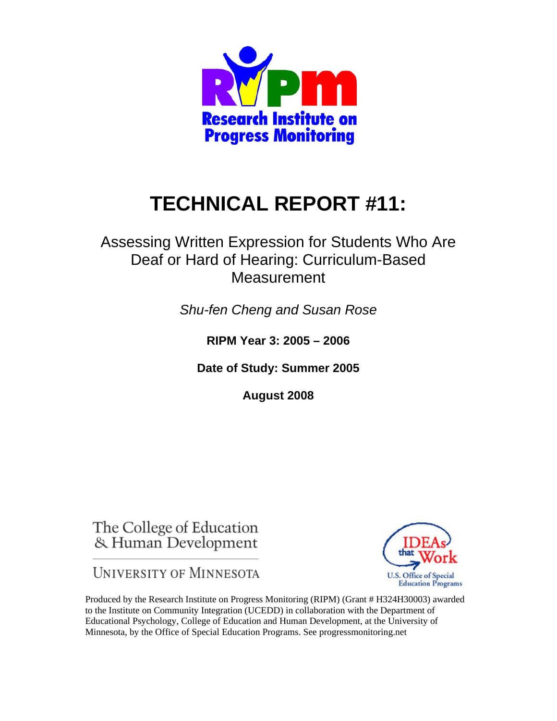

# **TECHNICAL REPORT #11:**

Assessing Written Expression for Students Who Are Deaf or Hard of Hearing: Curriculum-Based **Measurement** 

*Shu-fen Cheng and Susan Rose* 

**RIPM Year 3: 2005 – 2006** 

**Date of Study: Summer 2005** 

**August 2008** 

The College of Education & Human Development

**UNIVERSITY OF MINNESOTA** 



Produced by the Research Institute on Progress Monitoring (RIPM) (Grant # H324H30003) awarded to the Institute on Community Integration (UCEDD) in collaboration with the Department of Educational Psychology, College of Education and Human Development, at the University of Minnesota, by the Office of Special Education Programs. See progressmonitoring.net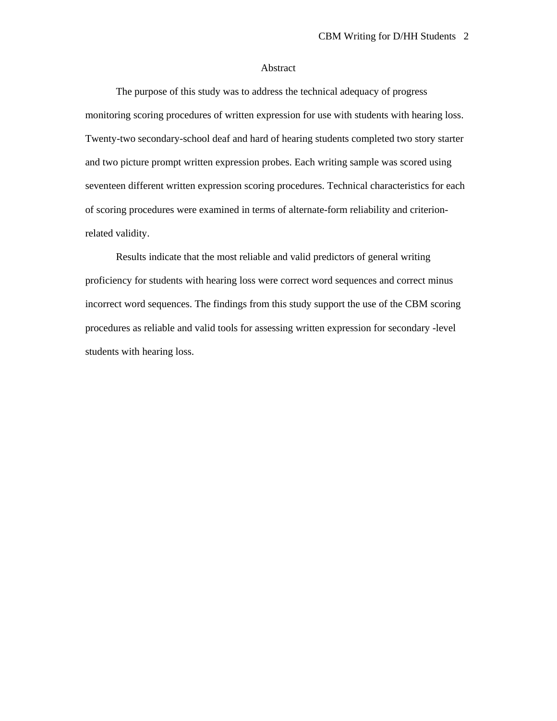#### Abstract

 The purpose of this study was to address the technical adequacy of progress monitoring scoring procedures of written expression for use with students with hearing loss. Twenty-two secondary-school deaf and hard of hearing students completed two story starter and two picture prompt written expression probes. Each writing sample was scored using seventeen different written expression scoring procedures. Technical characteristics for each of scoring procedures were examined in terms of alternate-form reliability and criterionrelated validity.

Results indicate that the most reliable and valid predictors of general writing proficiency for students with hearing loss were correct word sequences and correct minus incorrect word sequences. The findings from this study support the use of the CBM scoring procedures as reliable and valid tools for assessing written expression for secondary -level students with hearing loss.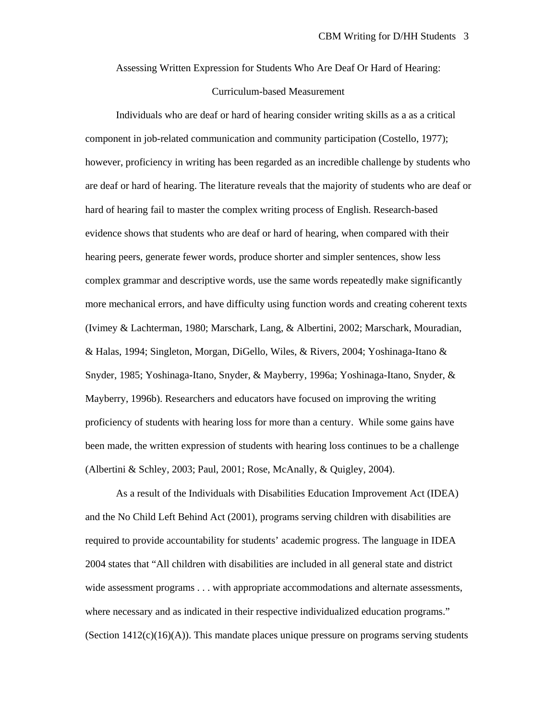Assessing Written Expression for Students Who Are Deaf Or Hard of Hearing:

## Curriculum-based Measurement

Individuals who are deaf or hard of hearing consider writing skills as a as a critical component in job-related communication and community participation (Costello, 1977); however, proficiency in writing has been regarded as an incredible challenge by students who are deaf or hard of hearing. The literature reveals that the majority of students who are deaf or hard of hearing fail to master the complex writing process of English. Research-based evidence shows that students who are deaf or hard of hearing, when compared with their hearing peers, generate fewer words, produce shorter and simpler sentences, show less complex grammar and descriptive words, use the same words repeatedly make significantly more mechanical errors, and have difficulty using function words and creating coherent texts (Ivimey & Lachterman, 1980; Marschark, Lang, & Albertini, 2002; Marschark, Mouradian, & Halas, 1994; Singleton, Morgan, DiGello, Wiles, & Rivers, 2004; Yoshinaga-Itano & Snyder, 1985; Yoshinaga-Itano, Snyder, & Mayberry, 1996a; Yoshinaga-Itano, Snyder, & Mayberry, 1996b). Researchers and educators have focused on improving the writing proficiency of students with hearing loss for more than a century. While some gains have been made, the written expression of students with hearing loss continues to be a challenge (Albertini & Schley, 2003; Paul, 2001; Rose, McAnally, & Quigley, 2004).

As a result of the Individuals with Disabilities Education Improvement Act (IDEA) and the No Child Left Behind Act (2001), programs serving children with disabilities are required to provide accountability for students' academic progress. The language in IDEA 2004 states that "All children with disabilities are included in all general state and district wide assessment programs . . . with appropriate accommodations and alternate assessments, where necessary and as indicated in their respective individualized education programs." (Section 1412(c)(16)(A)). This mandate places unique pressure on programs serving students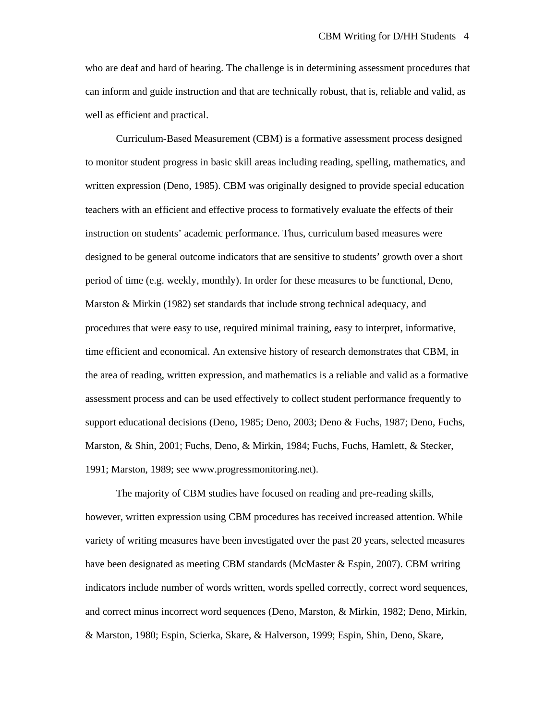who are deaf and hard of hearing. The challenge is in determining assessment procedures that can inform and guide instruction and that are technically robust, that is, reliable and valid, as well as efficient and practical.

Curriculum-Based Measurement (CBM) is a formative assessment process designed to monitor student progress in basic skill areas including reading, spelling, mathematics, and written expression (Deno, 1985). CBM was originally designed to provide special education teachers with an efficient and effective process to formatively evaluate the effects of their instruction on students' academic performance. Thus, curriculum based measures were designed to be general outcome indicators that are sensitive to students' growth over a short period of time (e.g. weekly, monthly). In order for these measures to be functional, Deno, Marston & Mirkin (1982) set standards that include strong technical adequacy, and procedures that were easy to use, required minimal training, easy to interpret, informative, time efficient and economical. An extensive history of research demonstrates that CBM, in the area of reading, written expression, and mathematics is a reliable and valid as a formative assessment process and can be used effectively to collect student performance frequently to support educational decisions (Deno, 1985; Deno, 2003; Deno & Fuchs, 1987; Deno, Fuchs, Marston, & Shin, 2001; Fuchs, Deno, & Mirkin, 1984; Fuchs, Fuchs, Hamlett, & Stecker, 1991; Marston, 1989; see www.progressmonitoring.net).

The majority of CBM studies have focused on reading and pre-reading skills, however, written expression using CBM procedures has received increased attention. While variety of writing measures have been investigated over the past 20 years, selected measures have been designated as meeting CBM standards (McMaster & Espin, 2007). CBM writing indicators include number of words written, words spelled correctly, correct word sequences, and correct minus incorrect word sequences (Deno, Marston, & Mirkin, 1982; Deno, Mirkin, & Marston, 1980; Espin, Scierka, Skare, & Halverson, 1999; Espin, Shin, Deno, Skare,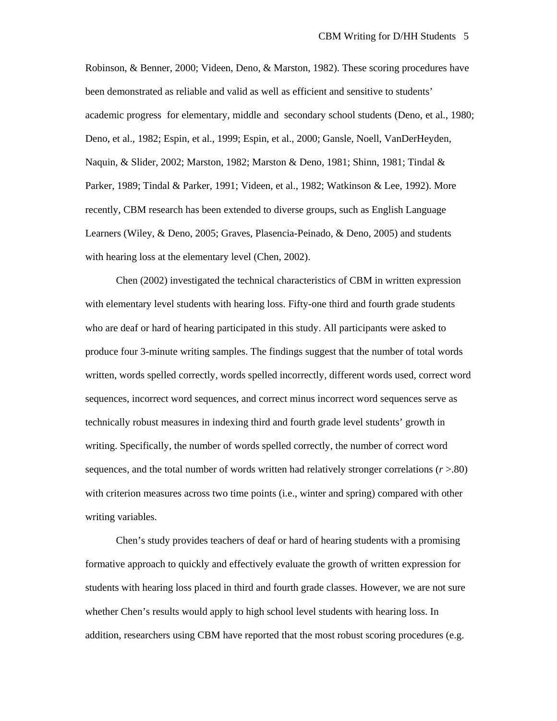Robinson, & Benner, 2000; Videen, Deno, & Marston, 1982). These scoring procedures have been demonstrated as reliable and valid as well as efficient and sensitive to students' academic progress for elementary, middle and secondary school students (Deno, et al., 1980; Deno, et al., 1982; Espin, et al., 1999; Espin, et al., 2000; Gansle, Noell, VanDerHeyden, Naquin, & Slider, 2002; Marston, 1982; Marston & Deno, 1981; Shinn, 1981; Tindal & Parker, 1989; Tindal & Parker, 1991; Videen, et al., 1982; Watkinson & Lee, 1992). More recently, CBM research has been extended to diverse groups, such as English Language Learners (Wiley, & Deno, 2005; Graves, Plasencia-Peinado, & Deno, 2005) and students with hearing loss at the elementary level (Chen, 2002).

Chen (2002) investigated the technical characteristics of CBM in written expression with elementary level students with hearing loss. Fifty-one third and fourth grade students who are deaf or hard of hearing participated in this study. All participants were asked to produce four 3-minute writing samples. The findings suggest that the number of total words written, words spelled correctly, words spelled incorrectly, different words used, correct word sequences, incorrect word sequences, and correct minus incorrect word sequences serve as technically robust measures in indexing third and fourth grade level students' growth in writing. Specifically, the number of words spelled correctly, the number of correct word sequences, and the total number of words written had relatively stronger correlations (*r* >.80) with criterion measures across two time points (i.e., winter and spring) compared with other writing variables.

Chen's study provides teachers of deaf or hard of hearing students with a promising formative approach to quickly and effectively evaluate the growth of written expression for students with hearing loss placed in third and fourth grade classes. However, we are not sure whether Chen's results would apply to high school level students with hearing loss. In addition, researchers using CBM have reported that the most robust scoring procedures (e.g.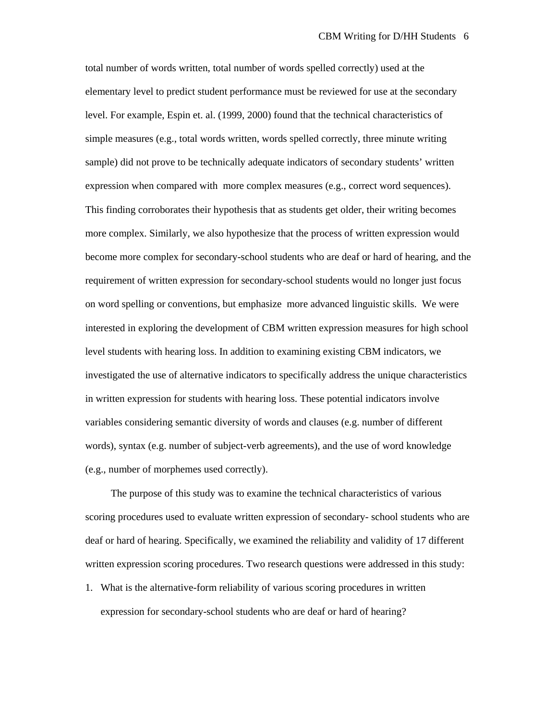total number of words written, total number of words spelled correctly) used at the elementary level to predict student performance must be reviewed for use at the secondary level. For example, Espin et. al. (1999, 2000) found that the technical characteristics of simple measures (e.g., total words written, words spelled correctly, three minute writing sample) did not prove to be technically adequate indicators of secondary students' written expression when compared with more complex measures (e.g., correct word sequences). This finding corroborates their hypothesis that as students get older, their writing becomes more complex. Similarly, we also hypothesize that the process of written expression would become more complex for secondary-school students who are deaf or hard of hearing, and the requirement of written expression for secondary-school students would no longer just focus on word spelling or conventions, but emphasize more advanced linguistic skills. We were interested in exploring the development of CBM written expression measures for high school level students with hearing loss. In addition to examining existing CBM indicators, we investigated the use of alternative indicators to specifically address the unique characteristics in written expression for students with hearing loss. These potential indicators involve variables considering semantic diversity of words and clauses (e.g. number of different words), syntax (e.g. number of subject-verb agreements), and the use of word knowledge (e.g., number of morphemes used correctly).

The purpose of this study was to examine the technical characteristics of various scoring procedures used to evaluate written expression of secondary- school students who are deaf or hard of hearing. Specifically, we examined the reliability and validity of 17 different written expression scoring procedures. Two research questions were addressed in this study:

1. What is the alternative-form reliability of various scoring procedures in written expression for secondary-school students who are deaf or hard of hearing?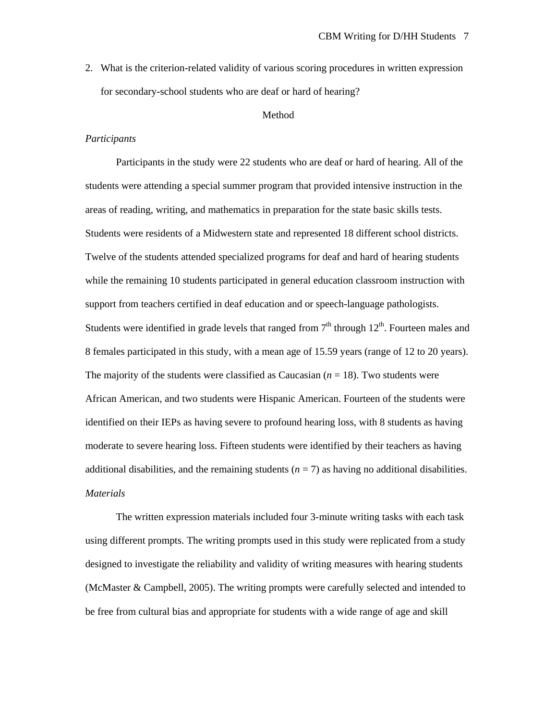2. What is the criterion-related validity of various scoring procedures in written expression for secondary-school students who are deaf or hard of hearing?

## Method

## *Participants*

Participants in the study were 22 students who are deaf or hard of hearing. All of the students were attending a special summer program that provided intensive instruction in the areas of reading, writing, and mathematics in preparation for the state basic skills tests. Students were residents of a Midwestern state and represented 18 different school districts. Twelve of the students attended specialized programs for deaf and hard of hearing students while the remaining 10 students participated in general education classroom instruction with support from teachers certified in deaf education and or speech-language pathologists. Students were identified in grade levels that ranged from  $7<sup>th</sup>$  through  $12<sup>th</sup>$ . Fourteen males and 8 females participated in this study, with a mean age of 15.59 years (range of 12 to 20 years). The majority of the students were classified as Caucasian  $(n = 18)$ . Two students were African American, and two students were Hispanic American. Fourteen of the students were identified on their IEPs as having severe to profound hearing loss, with 8 students as having moderate to severe hearing loss. Fifteen students were identified by their teachers as having additional disabilities, and the remaining students  $(n = 7)$  as having no additional disabilities. *Materials* 

 The written expression materials included four 3-minute writing tasks with each task using different prompts. The writing prompts used in this study were replicated from a study designed to investigate the reliability and validity of writing measures with hearing students (McMaster & Campbell, 2005). The writing prompts were carefully selected and intended to be free from cultural bias and appropriate for students with a wide range of age and skill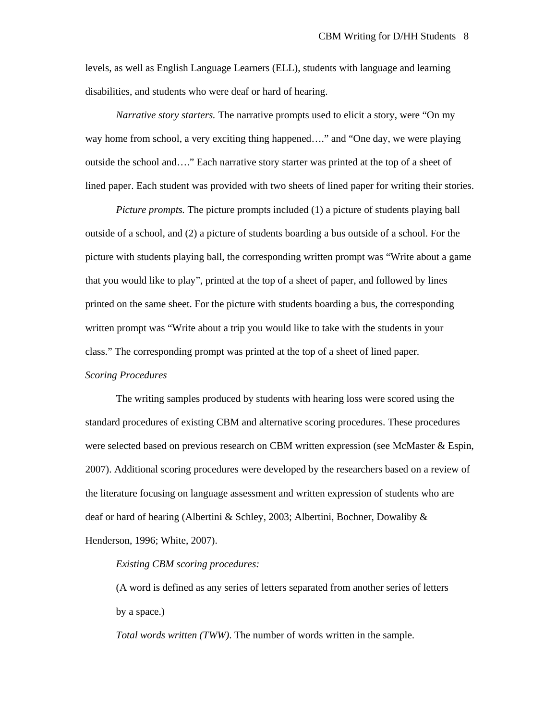levels, as well as English Language Learners (ELL), students with language and learning disabilities, and students who were deaf or hard of hearing.

*Narrative story starters.* The narrative prompts used to elicit a story, were "On my way home from school, a very exciting thing happened…." and "One day, we were playing outside the school and…." Each narrative story starter was printed at the top of a sheet of lined paper. Each student was provided with two sheets of lined paper for writing their stories.

*Picture prompts.* The picture prompts included (1) a picture of students playing ball outside of a school, and (2) a picture of students boarding a bus outside of a school. For the picture with students playing ball, the corresponding written prompt was "Write about a game that you would like to play", printed at the top of a sheet of paper, and followed by lines printed on the same sheet. For the picture with students boarding a bus, the corresponding written prompt was "Write about a trip you would like to take with the students in your class." The corresponding prompt was printed at the top of a sheet of lined paper.

*Scoring Procedures* 

 The writing samples produced by students with hearing loss were scored using the standard procedures of existing CBM and alternative scoring procedures. These procedures were selected based on previous research on CBM written expression (see McMaster & Espin, 2007). Additional scoring procedures were developed by the researchers based on a review of the literature focusing on language assessment and written expression of students who are deaf or hard of hearing (Albertini & Schley, 2003; Albertini, Bochner, Dowaliby & Henderson, 1996; White, 2007).

#### *Existing CBM scoring procedures:*

(A word is defined as any series of letters separated from another series of letters by a space.)

*Total words written (TWW)*. The number of words written in the sample.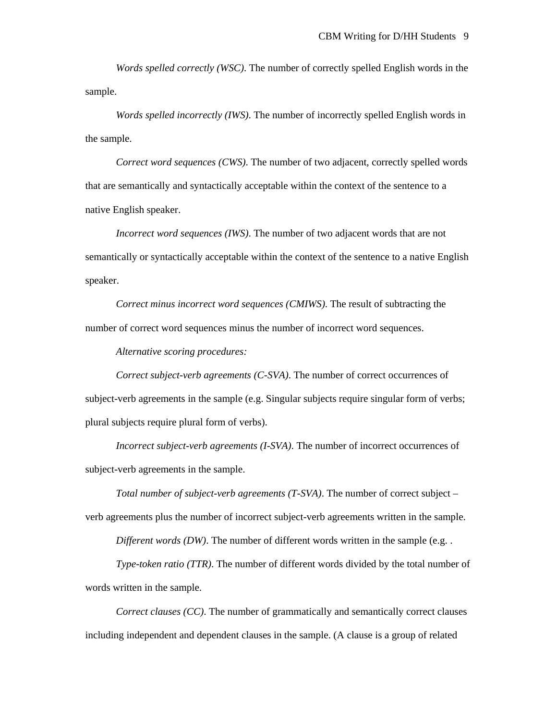*Words spelled correctly (WSC)*. The number of correctly spelled English words in the sample.

*Words spelled incorrectly (IWS)*. The number of incorrectly spelled English words in the sample.

*Correct word sequences (CWS)*. The number of two adjacent, correctly spelled words that are semantically and syntactically acceptable within the context of the sentence to a native English speaker.

*Incorrect word sequences (IWS)*. The number of two adjacent words that are not semantically or syntactically acceptable within the context of the sentence to a native English speaker.

*Correct minus incorrect word sequences (CMIWS)*. The result of subtracting the number of correct word sequences minus the number of incorrect word sequences.

*Alternative scoring procedures:* 

*Correct subject-verb agreements (C-SVA)*. The number of correct occurrences of subject-verb agreements in the sample (e.g. Singular subjects require singular form of verbs; plural subjects require plural form of verbs).

*Incorrect subject-verb agreements (I-SVA)*. The number of incorrect occurrences of subject-verb agreements in the sample.

*Total number of subject-verb agreements (T-SVA)*. The number of correct subject – verb agreements plus the number of incorrect subject-verb agreements written in the sample.

*Different words (DW)*. The number of different words written in the sample (e.g. .

*Type-token ratio (TTR)*. The number of different words divided by the total number of words written in the sample.

*Correct clauses (CC)*. The number of grammatically and semantically correct clauses including independent and dependent clauses in the sample. (A clause is a group of related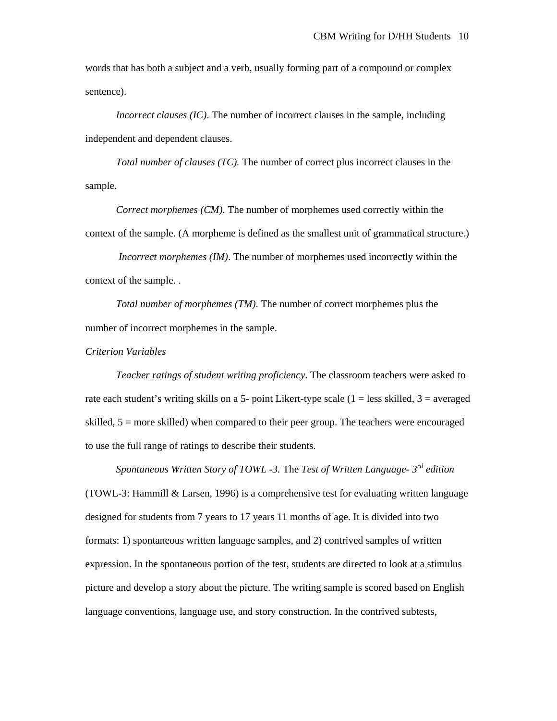words that has both a subject and a verb, usually forming part of a compound or complex sentence).

*Incorrect clauses (IC)*. The number of incorrect clauses in the sample, including independent and dependent clauses.

*Total number of clauses (TC).* The number of correct plus incorrect clauses in the sample.

*Correct morphemes (CM).* The number of morphemes used correctly within the context of the sample. (A morpheme is defined as the smallest unit of grammatical structure.)

 *Incorrect morphemes (IM)*. The number of morphemes used incorrectly within the context of the sample. .

*Total number of morphemes (TM)*. The number of correct morphemes plus the number of incorrect morphemes in the sample.

*Criterion Variables* 

*Teacher ratings of student writing proficiency*. The classroom teachers were asked to rate each student's writing skills on a 5- point Likert-type scale  $(1 = \text{less skilled}, 3 = \text{averaged})$ skilled,  $5 =$  more skilled) when compared to their peer group. The teachers were encouraged to use the full range of ratings to describe their students.

*Spontaneous Written Story of TOWL -3.* The *Test of Written Language- 3rd edition* (TOWL-3: Hammill & Larsen, 1996) is a comprehensive test for evaluating written language designed for students from 7 years to 17 years 11 months of age. It is divided into two formats: 1) spontaneous written language samples, and 2) contrived samples of written expression. In the spontaneous portion of the test, students are directed to look at a stimulus picture and develop a story about the picture. The writing sample is scored based on English language conventions, language use, and story construction. In the contrived subtests,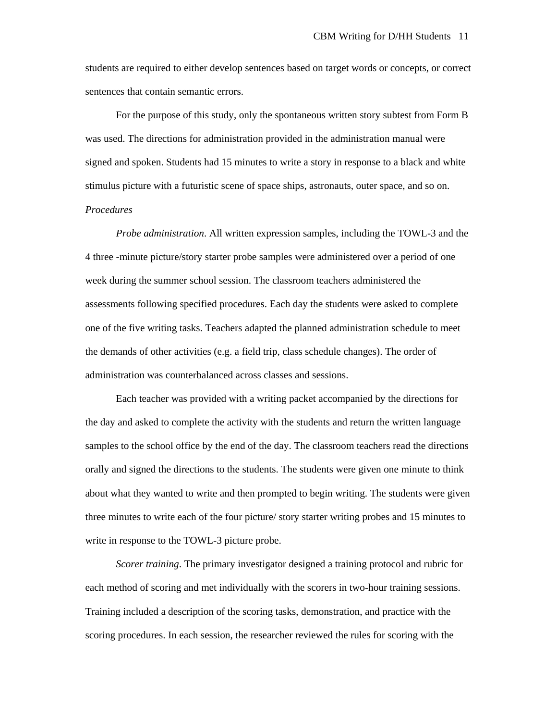students are required to either develop sentences based on target words or concepts, or correct sentences that contain semantic errors.

 For the purpose of this study, only the spontaneous written story subtest from Form B was used. The directions for administration provided in the administration manual were signed and spoken. Students had 15 minutes to write a story in response to a black and white stimulus picture with a futuristic scene of space ships, astronauts, outer space, and so on. *Procedures* 

*Probe administration*. All written expression samples, including the TOWL-3 and the 4 three -minute picture/story starter probe samples were administered over a period of one week during the summer school session. The classroom teachers administered the assessments following specified procedures. Each day the students were asked to complete one of the five writing tasks. Teachers adapted the planned administration schedule to meet the demands of other activities (e.g. a field trip, class schedule changes). The order of administration was counterbalanced across classes and sessions.

Each teacher was provided with a writing packet accompanied by the directions for the day and asked to complete the activity with the students and return the written language samples to the school office by the end of the day. The classroom teachers read the directions orally and signed the directions to the students. The students were given one minute to think about what they wanted to write and then prompted to begin writing. The students were given three minutes to write each of the four picture/ story starter writing probes and 15 minutes to write in response to the TOWL-3 picture probe.

*Scorer training*. The primary investigator designed a training protocol and rubric for each method of scoring and met individually with the scorers in two-hour training sessions. Training included a description of the scoring tasks, demonstration, and practice with the scoring procedures. In each session, the researcher reviewed the rules for scoring with the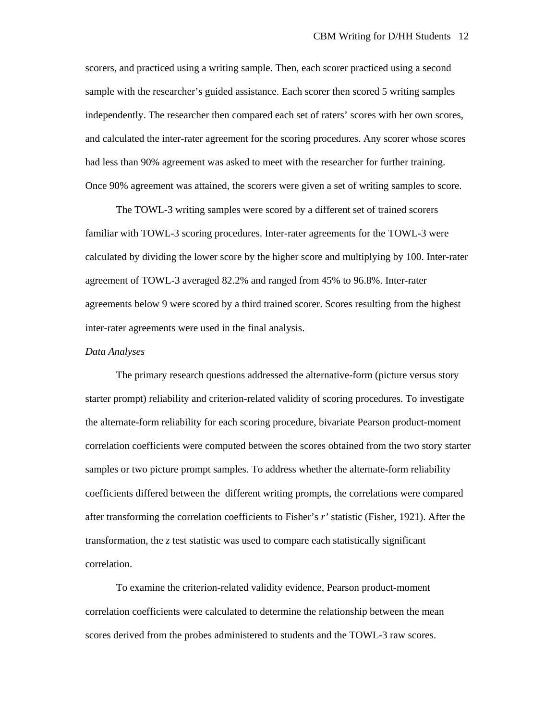scorers, and practiced using a writing sample. Then, each scorer practiced using a second sample with the researcher's guided assistance. Each scorer then scored 5 writing samples independently. The researcher then compared each set of raters' scores with her own scores, and calculated the inter-rater agreement for the scoring procedures. Any scorer whose scores had less than 90% agreement was asked to meet with the researcher for further training. Once 90% agreement was attained, the scorers were given a set of writing samples to score.

The TOWL-3 writing samples were scored by a different set of trained scorers familiar with TOWL-3 scoring procedures. Inter-rater agreements for the TOWL-3 were calculated by dividing the lower score by the higher score and multiplying by 100. Inter-rater agreement of TOWL-3 averaged 82.2% and ranged from 45% to 96.8%. Inter-rater agreements below 9 were scored by a third trained scorer. Scores resulting from the highest inter-rater agreements were used in the final analysis.

## *Data Analyses*

 The primary research questions addressed the alternative-form (picture versus story starter prompt) reliability and criterion-related validity of scoring procedures. To investigate the alternate-form reliability for each scoring procedure, bivariate Pearson product-moment correlation coefficients were computed between the scores obtained from the two story starter samples or two picture prompt samples. To address whether the alternate-form reliability coefficients differed between the different writing prompts, the correlations were compared after transforming the correlation coefficients to Fisher's *r'* statistic (Fisher, 1921). After the transformation, the *z* test statistic was used to compare each statistically significant correlation.

To examine the criterion-related validity evidence, Pearson product-moment correlation coefficients were calculated to determine the relationship between the mean scores derived from the probes administered to students and the TOWL-3 raw scores.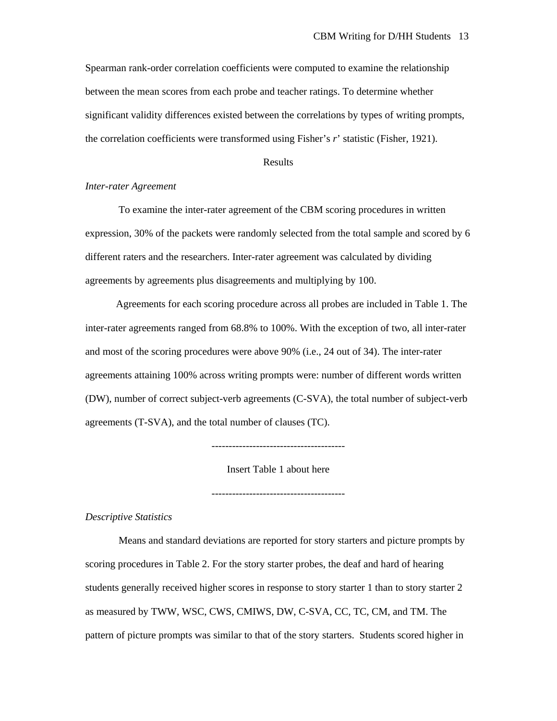Spearman rank-order correlation coefficients were computed to examine the relationship between the mean scores from each probe and teacher ratings. To determine whether significant validity differences existed between the correlations by types of writing prompts, the correlation coefficients were transformed using Fisher's *r*' statistic (Fisher, 1921).

# Results

# *Inter-rater Agreement*

To examine the inter-rater agreement of the CBM scoring procedures in written expression, 30% of the packets were randomly selected from the total sample and scored by 6 different raters and the researchers. Inter-rater agreement was calculated by dividing agreements by agreements plus disagreements and multiplying by 100.

Agreements for each scoring procedure across all probes are included in Table 1. The inter-rater agreements ranged from 68.8% to 100%. With the exception of two, all inter-rater and most of the scoring procedures were above 90% (i.e., 24 out of 34). The inter-rater agreements attaining 100% across writing prompts were: number of different words written (DW), number of correct subject-verb agreements (C-SVA), the total number of subject-verb agreements (T-SVA), and the total number of clauses (TC).

---------------------------------------

Insert Table 1 about here

---------------------------------------

*Descriptive Statistics* 

Means and standard deviations are reported for story starters and picture prompts by scoring procedures in Table 2. For the story starter probes, the deaf and hard of hearing students generally received higher scores in response to story starter 1 than to story starter 2 as measured by TWW, WSC, CWS, CMIWS, DW, C-SVA, CC, TC, CM, and TM. The pattern of picture prompts was similar to that of the story starters. Students scored higher in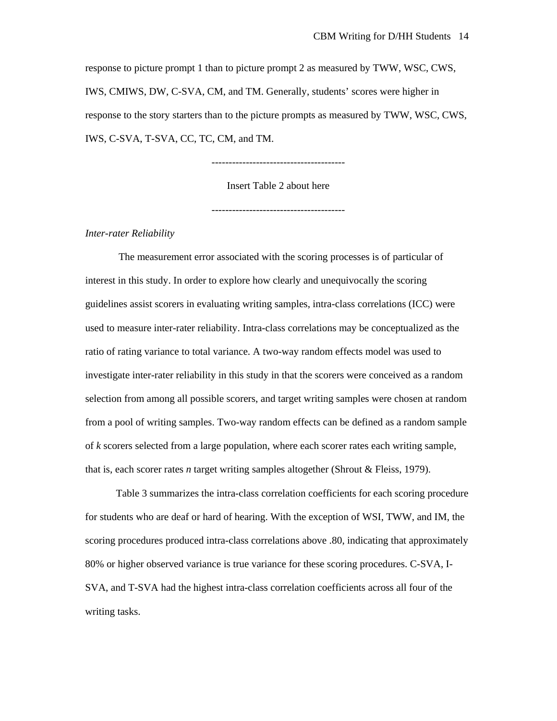response to picture prompt 1 than to picture prompt 2 as measured by TWW, WSC, CWS, IWS, CMIWS, DW, C-SVA, CM, and TM. Generally, students' scores were higher in response to the story starters than to the picture prompts as measured by TWW, WSC, CWS, IWS, C-SVA, T-SVA, CC, TC, CM, and TM.

---------------------------------------

Insert Table 2 about here

---------------------------------------

*Inter-rater Reliability* 

The measurement error associated with the scoring processes is of particular of interest in this study. In order to explore how clearly and unequivocally the scoring guidelines assist scorers in evaluating writing samples, intra-class correlations (ICC) were used to measure inter-rater reliability. Intra-class correlations may be conceptualized as the ratio of rating variance to total variance. A two-way random effects model was used to investigate inter-rater reliability in this study in that the scorers were conceived as a random selection from among all possible scorers, and target writing samples were chosen at random from a pool of writing samples. Two-way random effects can be defined as a random sample of *k* scorers selected from a large population, where each scorer rates each writing sample, that is, each scorer rates *n* target writing samples altogether (Shrout & Fleiss, 1979).

 Table 3 summarizes the intra-class correlation coefficients for each scoring procedure for students who are deaf or hard of hearing. With the exception of WSI, TWW, and IM, the scoring procedures produced intra-class correlations above .80, indicating that approximately 80% or higher observed variance is true variance for these scoring procedures. C-SVA, I-SVA, and T-SVA had the highest intra-class correlation coefficients across all four of the writing tasks.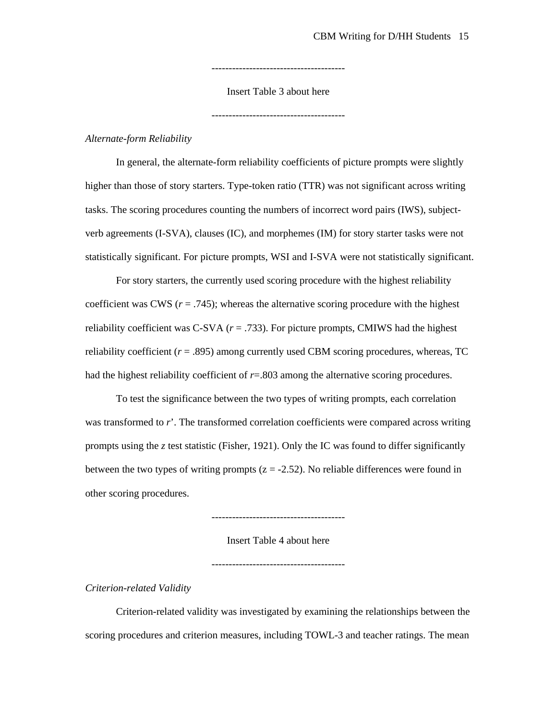---------------------------------------

Insert Table 3 about here

---------------------------------------

## *Alternate-form Reliability*

In general, the alternate-form reliability coefficients of picture prompts were slightly higher than those of story starters. Type-token ratio (TTR) was not significant across writing tasks. The scoring procedures counting the numbers of incorrect word pairs (IWS), subjectverb agreements (I-SVA), clauses (IC), and morphemes (IM) for story starter tasks were not statistically significant. For picture prompts, WSI and I-SVA were not statistically significant.

 For story starters, the currently used scoring procedure with the highest reliability coefficient was CWS  $(r = .745)$ ; whereas the alternative scoring procedure with the highest reliability coefficient was C-SVA  $(r = .733)$ . For picture prompts, CMIWS had the highest reliability coefficient (*r* = .895) among currently used CBM scoring procedures, whereas, TC had the highest reliability coefficient of  $r = .803$  among the alternative scoring procedures.

 To test the significance between the two types of writing prompts, each correlation was transformed to *r*'. The transformed correlation coefficients were compared across writing prompts using the *z* test statistic (Fisher, 1921). Only the IC was found to differ significantly between the two types of writing prompts  $(z = -2.52)$ . No reliable differences were found in other scoring procedures.

Insert Table 4 about here

---------------------------------------

---------------------------------------

# *Criterion-related Validity*

Criterion-related validity was investigated by examining the relationships between the scoring procedures and criterion measures, including TOWL-3 and teacher ratings. The mean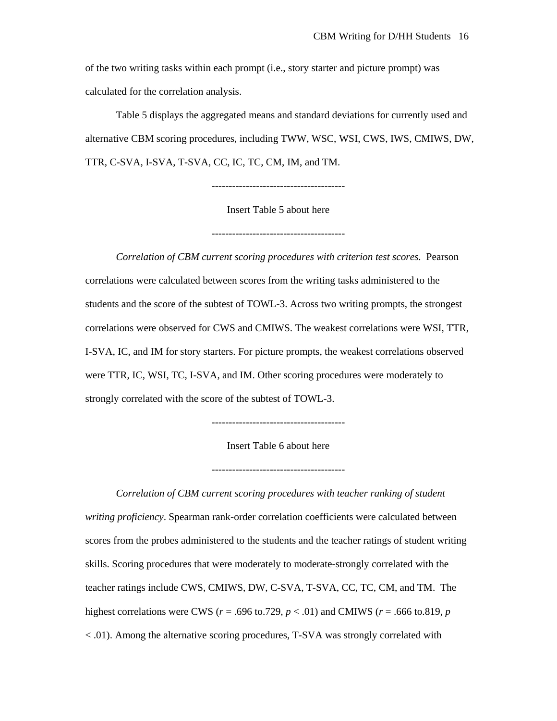of the two writing tasks within each prompt (i.e., story starter and picture prompt) was calculated for the correlation analysis.

 Table 5 displays the aggregated means and standard deviations for currently used and alternative CBM scoring procedures, including TWW, WSC, WSI, CWS, IWS, CMIWS, DW, TTR, C-SVA, I-SVA, T-SVA, CC, IC, TC, CM, IM, and TM.

---------------------------------------

Insert Table 5 about here

---------------------------------------

*Correlation of CBM current scoring procedures with criterion test scores.* Pearson correlations were calculated between scores from the writing tasks administered to the students and the score of the subtest of TOWL-3. Across two writing prompts, the strongest correlations were observed for CWS and CMIWS. The weakest correlations were WSI, TTR, I-SVA, IC, and IM for story starters. For picture prompts, the weakest correlations observed were TTR, IC, WSI, TC, I-SVA, and IM. Other scoring procedures were moderately to strongly correlated with the score of the subtest of TOWL-3.

---------------------------------------

Insert Table 6 about here

---------------------------------------

*Correlation of CBM current scoring procedures with teacher ranking of student writing proficiency*. Spearman rank-order correlation coefficients were calculated between scores from the probes administered to the students and the teacher ratings of student writing skills. Scoring procedures that were moderately to moderate-strongly correlated with the teacher ratings include CWS, CMIWS, DW, C-SVA, T-SVA, CC, TC, CM, and TM. The highest correlations were CWS (*r* = .696 to.729, *p* < .01) and CMIWS (*r* = .666 to.819, *p*  < .01). Among the alternative scoring procedures, T-SVA was strongly correlated with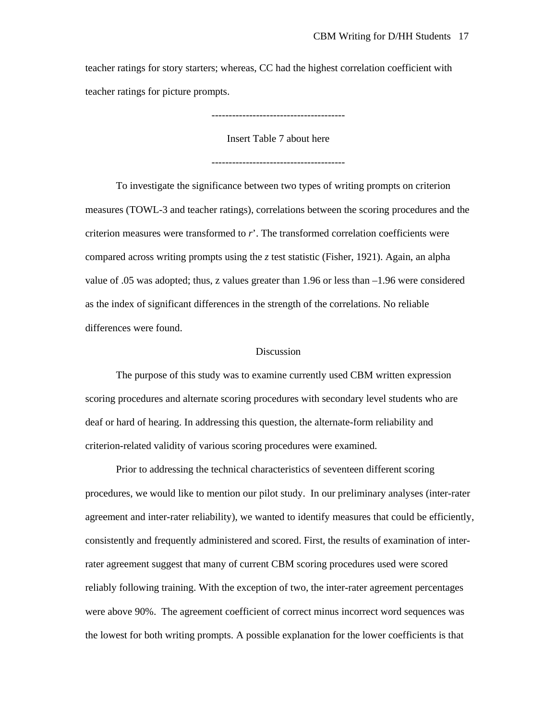teacher ratings for story starters; whereas, CC had the highest correlation coefficient with teacher ratings for picture prompts.

---------------------------------------

Insert Table 7 about here

---------------------------------------

 To investigate the significance between two types of writing prompts on criterion measures (TOWL-3 and teacher ratings), correlations between the scoring procedures and the criterion measures were transformed to *r*'. The transformed correlation coefficients were compared across writing prompts using the *z* test statistic (Fisher, 1921). Again, an alpha value of .05 was adopted; thus, z values greater than 1.96 or less than –1.96 were considered as the index of significant differences in the strength of the correlations. No reliable differences were found.

# Discussion

The purpose of this study was to examine currently used CBM written expression scoring procedures and alternate scoring procedures with secondary level students who are deaf or hard of hearing. In addressing this question, the alternate-form reliability and criterion-related validity of various scoring procedures were examined.

Prior to addressing the technical characteristics of seventeen different scoring procedures, we would like to mention our pilot study. In our preliminary analyses (inter-rater agreement and inter-rater reliability), we wanted to identify measures that could be efficiently, consistently and frequently administered and scored. First, the results of examination of interrater agreement suggest that many of current CBM scoring procedures used were scored reliably following training. With the exception of two, the inter-rater agreement percentages were above 90%. The agreement coefficient of correct minus incorrect word sequences was the lowest for both writing prompts. A possible explanation for the lower coefficients is that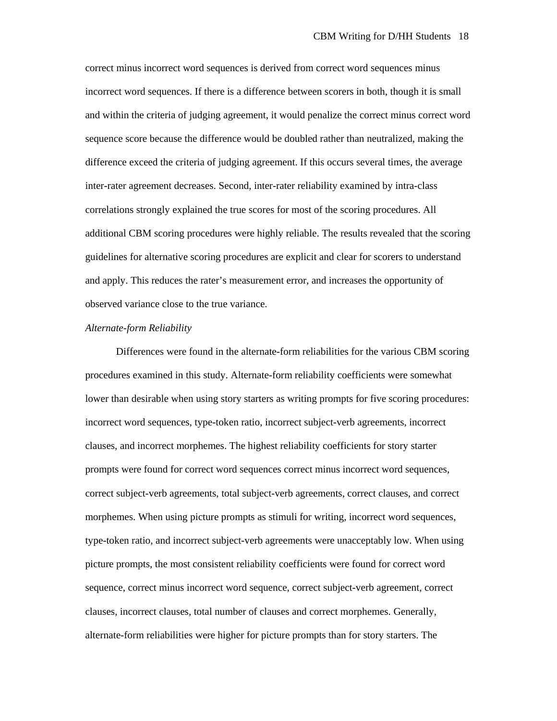correct minus incorrect word sequences is derived from correct word sequences minus incorrect word sequences. If there is a difference between scorers in both, though it is small and within the criteria of judging agreement, it would penalize the correct minus correct word sequence score because the difference would be doubled rather than neutralized, making the difference exceed the criteria of judging agreement. If this occurs several times, the average inter-rater agreement decreases. Second, inter-rater reliability examined by intra-class correlations strongly explained the true scores for most of the scoring procedures. All additional CBM scoring procedures were highly reliable. The results revealed that the scoring guidelines for alternative scoring procedures are explicit and clear for scorers to understand and apply. This reduces the rater's measurement error, and increases the opportunity of observed variance close to the true variance.

#### *Alternate-form Reliability*

Differences were found in the alternate-form reliabilities for the various CBM scoring procedures examined in this study. Alternate-form reliability coefficients were somewhat lower than desirable when using story starters as writing prompts for five scoring procedures: incorrect word sequences, type-token ratio, incorrect subject-verb agreements, incorrect clauses, and incorrect morphemes. The highest reliability coefficients for story starter prompts were found for correct word sequences correct minus incorrect word sequences, correct subject-verb agreements, total subject-verb agreements, correct clauses, and correct morphemes. When using picture prompts as stimuli for writing, incorrect word sequences, type-token ratio, and incorrect subject-verb agreements were unacceptably low. When using picture prompts, the most consistent reliability coefficients were found for correct word sequence, correct minus incorrect word sequence, correct subject-verb agreement, correct clauses, incorrect clauses, total number of clauses and correct morphemes. Generally, alternate-form reliabilities were higher for picture prompts than for story starters. The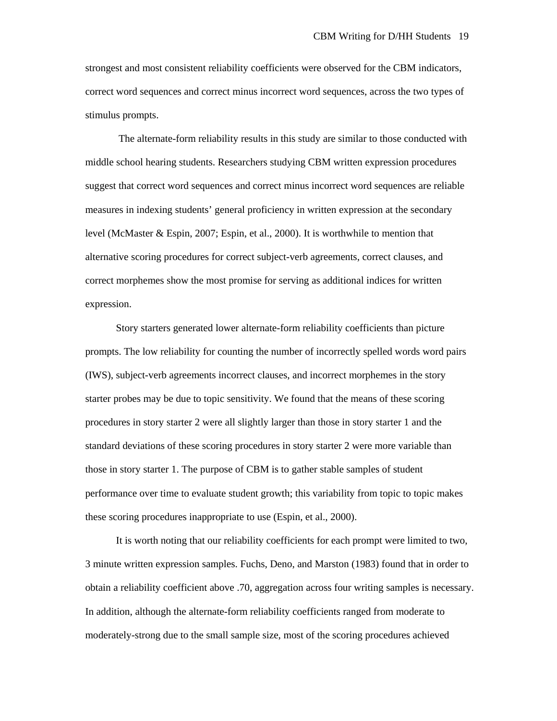strongest and most consistent reliability coefficients were observed for the CBM indicators, correct word sequences and correct minus incorrect word sequences, across the two types of stimulus prompts.

 The alternate-form reliability results in this study are similar to those conducted with middle school hearing students. Researchers studying CBM written expression procedures suggest that correct word sequences and correct minus incorrect word sequences are reliable measures in indexing students' general proficiency in written expression at the secondary level (McMaster & Espin, 2007; Espin, et al., 2000). It is worthwhile to mention that alternative scoring procedures for correct subject-verb agreements, correct clauses, and correct morphemes show the most promise for serving as additional indices for written expression.

Story starters generated lower alternate-form reliability coefficients than picture prompts. The low reliability for counting the number of incorrectly spelled words word pairs (IWS), subject-verb agreements incorrect clauses, and incorrect morphemes in the story starter probes may be due to topic sensitivity. We found that the means of these scoring procedures in story starter 2 were all slightly larger than those in story starter 1 and the standard deviations of these scoring procedures in story starter 2 were more variable than those in story starter 1. The purpose of CBM is to gather stable samples of student performance over time to evaluate student growth; this variability from topic to topic makes these scoring procedures inappropriate to use (Espin, et al., 2000).

It is worth noting that our reliability coefficients for each prompt were limited to two, 3 minute written expression samples. Fuchs, Deno, and Marston (1983) found that in order to obtain a reliability coefficient above .70, aggregation across four writing samples is necessary. In addition, although the alternate-form reliability coefficients ranged from moderate to moderately-strong due to the small sample size, most of the scoring procedures achieved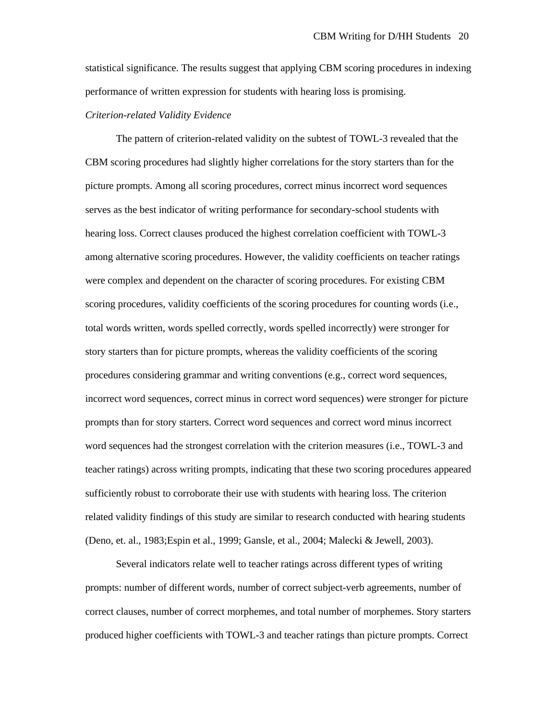statistical significance. The results suggest that applying CBM scoring procedures in indexing performance of written expression for students with hearing loss is promising.

# *Criterion-related Validity Evidence*

The pattern of criterion-related validity on the subtest of TOWL-3 revealed that the CBM scoring procedures had slightly higher correlations for the story starters than for the picture prompts. Among all scoring procedures, correct minus incorrect word sequences serves as the best indicator of writing performance for secondary-school students with hearing loss. Correct clauses produced the highest correlation coefficient with TOWL-3 among alternative scoring procedures. However, the validity coefficients on teacher ratings were complex and dependent on the character of scoring procedures. For existing CBM scoring procedures, validity coefficients of the scoring procedures for counting words (i.e., total words written, words spelled correctly, words spelled incorrectly) were stronger for story starters than for picture prompts, whereas the validity coefficients of the scoring procedures considering grammar and writing conventions (e.g., correct word sequences, incorrect word sequences, correct minus in correct word sequences) were stronger for picture prompts than for story starters. Correct word sequences and correct word minus incorrect word sequences had the strongest correlation with the criterion measures (i.e., TOWL-3 and teacher ratings) across writing prompts, indicating that these two scoring procedures appeared sufficiently robust to corroborate their use with students with hearing loss. The criterion related validity findings of this study are similar to research conducted with hearing students (Deno, et. al., 1983;Espin et al., 1999; Gansle, et al., 2004; Malecki & Jewell, 2003).

Several indicators relate well to teacher ratings across different types of writing prompts: number of different words, number of correct subject-verb agreements, number of correct clauses, number of correct morphemes, and total number of morphemes. Story starters produced higher coefficients with TOWL-3 and teacher ratings than picture prompts. Correct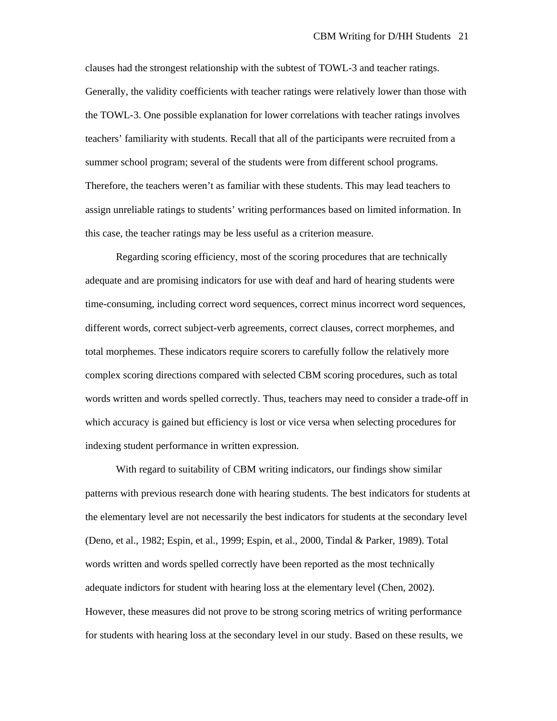clauses had the strongest relationship with the subtest of TOWL-3 and teacher ratings. Generally, the validity coefficients with teacher ratings were relatively lower than those with the TOWL-3. One possible explanation for lower correlations with teacher ratings involves teachers' familiarity with students. Recall that all of the participants were recruited from a summer school program; several of the students were from different school programs. Therefore, the teachers weren't as familiar with these students. This may lead teachers to assign unreliable ratings to students' writing performances based on limited information. In this case, the teacher ratings may be less useful as a criterion measure.

 Regarding scoring efficiency, most of the scoring procedures that are technically adequate and are promising indicators for use with deaf and hard of hearing students were time-consuming, including correct word sequences, correct minus incorrect word sequences, different words, correct subject-verb agreements, correct clauses, correct morphemes, and total morphemes. These indicators require scorers to carefully follow the relatively more complex scoring directions compared with selected CBM scoring procedures, such as total words written and words spelled correctly. Thus, teachers may need to consider a trade-off in which accuracy is gained but efficiency is lost or vice versa when selecting procedures for indexing student performance in written expression.

 With regard to suitability of CBM writing indicators, our findings show similar patterns with previous research done with hearing students. The best indicators for students at the elementary level are not necessarily the best indicators for students at the secondary level (Deno, et al., 1982; Espin, et al., 1999; Espin, et al., 2000, Tindal & Parker, 1989). Total words written and words spelled correctly have been reported as the most technically adequate indictors for student with hearing loss at the elementary level (Chen, 2002). However, these measures did not prove to be strong scoring metrics of writing performance for students with hearing loss at the secondary level in our study. Based on these results, we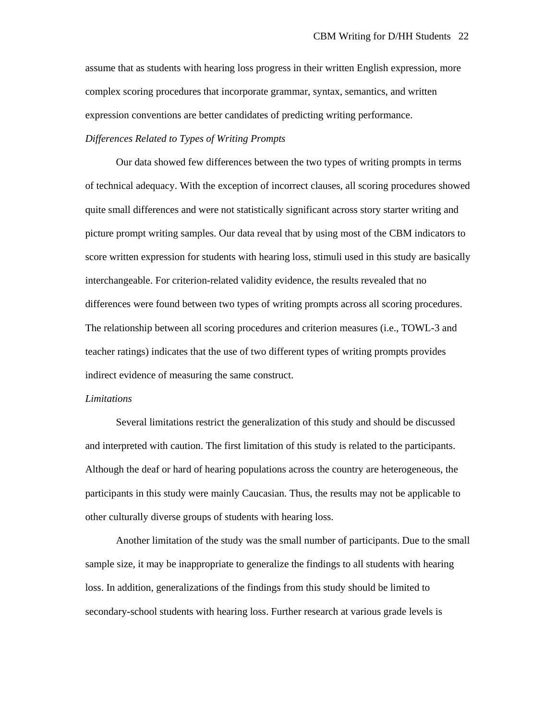assume that as students with hearing loss progress in their written English expression, more complex scoring procedures that incorporate grammar, syntax, semantics, and written expression conventions are better candidates of predicting writing performance. *Differences Related to Types of Writing Prompts* 

 Our data showed few differences between the two types of writing prompts in terms of technical adequacy. With the exception of incorrect clauses, all scoring procedures showed quite small differences and were not statistically significant across story starter writing and picture prompt writing samples. Our data reveal that by using most of the CBM indicators to score written expression for students with hearing loss, stimuli used in this study are basically interchangeable. For criterion-related validity evidence, the results revealed that no differences were found between two types of writing prompts across all scoring procedures. The relationship between all scoring procedures and criterion measures (i.e., TOWL-3 and teacher ratings) indicates that the use of two different types of writing prompts provides indirect evidence of measuring the same construct.

#### *Limitations*

 Several limitations restrict the generalization of this study and should be discussed and interpreted with caution. The first limitation of this study is related to the participants. Although the deaf or hard of hearing populations across the country are heterogeneous, the participants in this study were mainly Caucasian. Thus, the results may not be applicable to other culturally diverse groups of students with hearing loss.

 Another limitation of the study was the small number of participants. Due to the small sample size, it may be inappropriate to generalize the findings to all students with hearing loss. In addition, generalizations of the findings from this study should be limited to secondary-school students with hearing loss. Further research at various grade levels is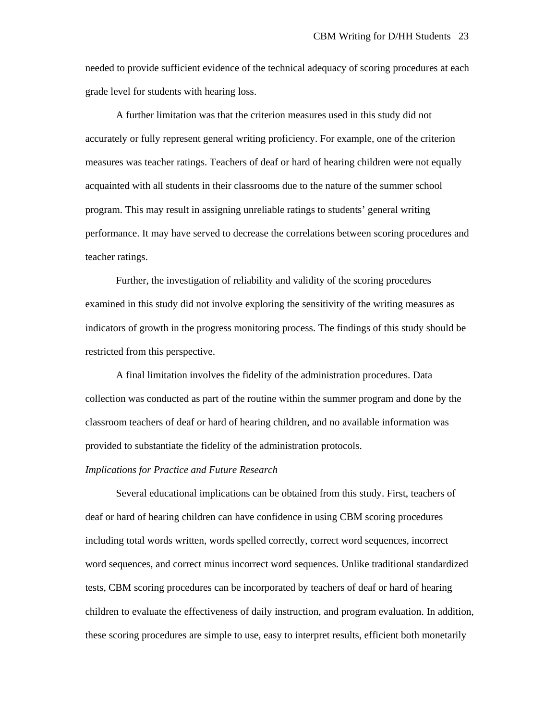needed to provide sufficient evidence of the technical adequacy of scoring procedures at each grade level for students with hearing loss.

 A further limitation was that the criterion measures used in this study did not accurately or fully represent general writing proficiency. For example, one of the criterion measures was teacher ratings. Teachers of deaf or hard of hearing children were not equally acquainted with all students in their classrooms due to the nature of the summer school program. This may result in assigning unreliable ratings to students' general writing performance. It may have served to decrease the correlations between scoring procedures and teacher ratings.

 Further, the investigation of reliability and validity of the scoring procedures examined in this study did not involve exploring the sensitivity of the writing measures as indicators of growth in the progress monitoring process. The findings of this study should be restricted from this perspective.

A final limitation involves the fidelity of the administration procedures. Data collection was conducted as part of the routine within the summer program and done by the classroom teachers of deaf or hard of hearing children, and no available information was provided to substantiate the fidelity of the administration protocols.

## *Implications for Practice and Future Research*

 Several educational implications can be obtained from this study. First, teachers of deaf or hard of hearing children can have confidence in using CBM scoring procedures including total words written, words spelled correctly, correct word sequences, incorrect word sequences, and correct minus incorrect word sequences. Unlike traditional standardized tests, CBM scoring procedures can be incorporated by teachers of deaf or hard of hearing children to evaluate the effectiveness of daily instruction, and program evaluation. In addition, these scoring procedures are simple to use, easy to interpret results, efficient both monetarily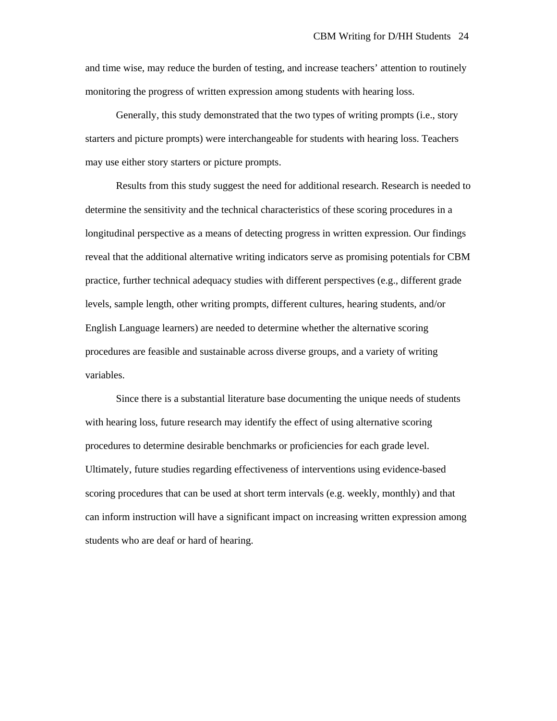and time wise, may reduce the burden of testing, and increase teachers' attention to routinely monitoring the progress of written expression among students with hearing loss.

 Generally, this study demonstrated that the two types of writing prompts (i.e., story starters and picture prompts) were interchangeable for students with hearing loss. Teachers may use either story starters or picture prompts.

 Results from this study suggest the need for additional research. Research is needed to determine the sensitivity and the technical characteristics of these scoring procedures in a longitudinal perspective as a means of detecting progress in written expression. Our findings reveal that the additional alternative writing indicators serve as promising potentials for CBM practice, further technical adequacy studies with different perspectives (e.g., different grade levels, sample length, other writing prompts, different cultures, hearing students, and/or English Language learners) are needed to determine whether the alternative scoring procedures are feasible and sustainable across diverse groups, and a variety of writing variables.

Since there is a substantial literature base documenting the unique needs of students with hearing loss, future research may identify the effect of using alternative scoring procedures to determine desirable benchmarks or proficiencies for each grade level. Ultimately, future studies regarding effectiveness of interventions using evidence-based scoring procedures that can be used at short term intervals (e.g. weekly, monthly) and that can inform instruction will have a significant impact on increasing written expression among students who are deaf or hard of hearing.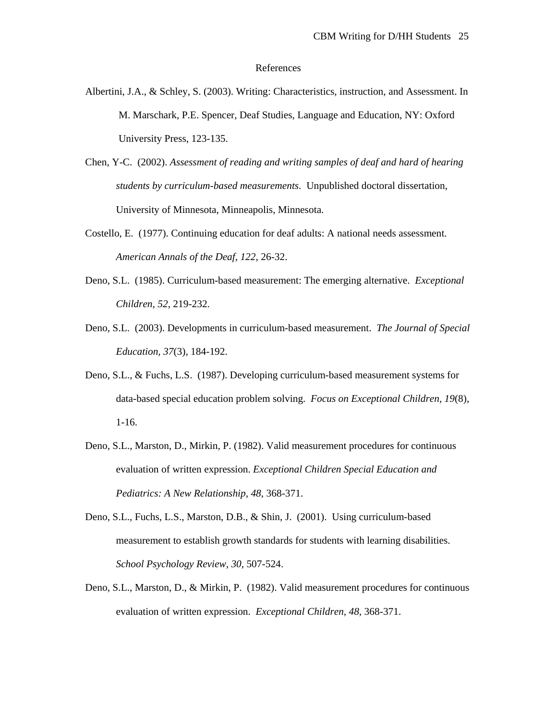#### References

- Albertini, J.A., & Schley, S. (2003). Writing: Characteristics, instruction, and Assessment. In M. Marschark, P.E. Spencer, Deaf Studies, Language and Education, NY: Oxford University Press, 123-135.
- Chen, Y-C. (2002). *Assessment of reading and writing samples of deaf and hard of hearing students by curriculum-based measurements*. Unpublished doctoral dissertation, University of Minnesota, Minneapolis, Minnesota.
- Costello, E. (1977). Continuing education for deaf adults: A national needs assessment. *American Annals of the Deaf, 122*, 26-32.
- Deno, S.L. (1985). Curriculum-based measurement: The emerging alternative. *Exceptional Children, 52*, 219-232.
- Deno, S.L. (2003). Developments in curriculum-based measurement. *The Journal of Special Education, 37*(3), 184-192.
- Deno, S.L., & Fuchs, L.S. (1987). Developing curriculum-based measurement systems for data-based special education problem solving. *Focus on Exceptional Children, 19*(8), 1-16.
- Deno, S.L., Marston, D., Mirkin, P. (1982). Valid measurement procedures for continuous evaluation of written expression. *Exceptional Children Special Education and Pediatrics: A New Relationship, 48*, 368-371.
- Deno, S.L., Fuchs, L.S., Marston, D.B., & Shin, J. (2001). Using curriculum-based measurement to establish growth standards for students with learning disabilities. *School Psychology Review, 30*, 507-524.
- Deno, S.L., Marston, D., & Mirkin, P. (1982). Valid measurement procedures for continuous evaluation of written expression. *Exceptional Children, 48,* 368-371.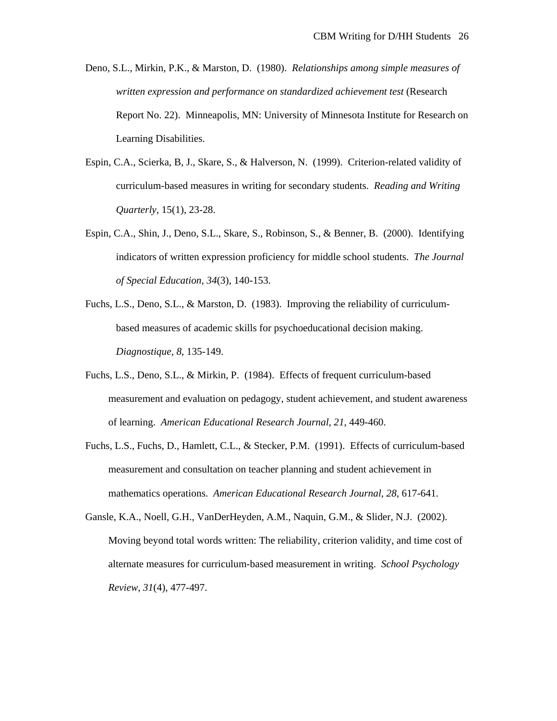Deno, S.L., Mirkin, P.K., & Marston, D. (1980). *Relationships among simple measures of written expression and performance on standardized achievement test* (Research Report No. 22). Minneapolis, MN: University of Minnesota Institute for Research on Learning Disabilities.

- Espin, C.A., Scierka, B, J., Skare, S., & Halverson, N. (1999). Criterion-related validity of curriculum-based measures in writing for secondary students. *Reading and Writing Quarterly*, 15(1), 23-28.
- Espin, C.A., Shin, J., Deno, S.L., Skare, S., Robinson, S., & Benner, B. (2000). Identifying indicators of written expression proficiency for middle school students. *The Journal of Special Education, 34*(3), 140-153.
- Fuchs, L.S., Deno, S.L., & Marston, D. (1983). Improving the reliability of curriculumbased measures of academic skills for psychoeducational decision making. *Diagnostique, 8*, 135-149.
- Fuchs, L.S., Deno, S.L., & Mirkin, P. (1984). Effects of frequent curriculum-based measurement and evaluation on pedagogy, student achievement, and student awareness of learning. *American Educational Research Journal, 21*, 449-460.
- Fuchs, L.S., Fuchs, D., Hamlett, C.L., & Stecker, P.M. (1991). Effects of curriculum-based measurement and consultation on teacher planning and student achievement in mathematics operations. *American Educational Research Journal, 28*, 617-641.
- Gansle, K.A., Noell, G.H., VanDerHeyden, A.M., Naquin, G.M., & Slider, N.J. (2002). Moving beyond total words written: The reliability, criterion validity, and time cost of alternate measures for curriculum-based measurement in writing. *School Psychology Review, 31*(4), 477-497.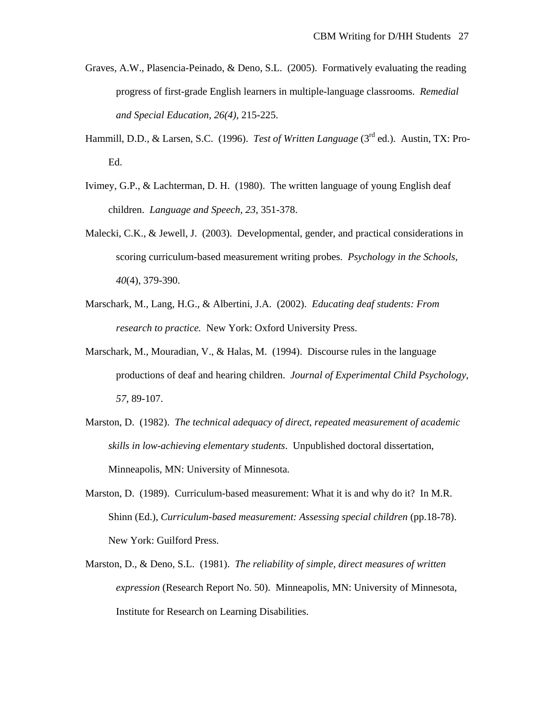- Graves, A.W., Plasencia-Peinado, & Deno, S.L. (2005). Formatively evaluating the reading progress of first-grade English learners in multiple-language classrooms. *Remedial and Special Education, 26(4)*, 215-225.
- Hammill, D.D., & Larsen, S.C. (1996). *Test of Written Language* (3<sup>rd</sup> ed.). Austin, TX: Pro-Ed.
- Ivimey, G.P., & Lachterman, D. H. (1980). The written language of young English deaf children. *Language and Speech, 23*, 351-378.
- Malecki, C.K., & Jewell, J. (2003). Developmental, gender, and practical considerations in scoring curriculum-based measurement writing probes. *Psychology in the Schools, 40*(4), 379-390.
- Marschark, M., Lang, H.G., & Albertini, J.A. (2002). *Educating deaf students: From research to practice.* New York: Oxford University Press.
- Marschark, M., Mouradian, V., & Halas, M. (1994). Discourse rules in the language productions of deaf and hearing children. *Journal of Experimental Child Psychology, 57*, 89-107.
- Marston, D. (1982). *The technical adequacy of direct, repeated measurement of academic skills in low-achieving elementary students*. Unpublished doctoral dissertation, Minneapolis, MN: University of Minnesota.
- Marston, D. (1989). Curriculum-based measurement: What it is and why do it? In M.R. Shinn (Ed.), *Curriculum-based measurement: Assessing special children* (pp.18-78). New York: Guilford Press.
- Marston, D., & Deno, S.L. (1981). *The reliability of simple, direct measures of written expression* (Research Report No. 50). Minneapolis, MN: University of Minnesota, Institute for Research on Learning Disabilities.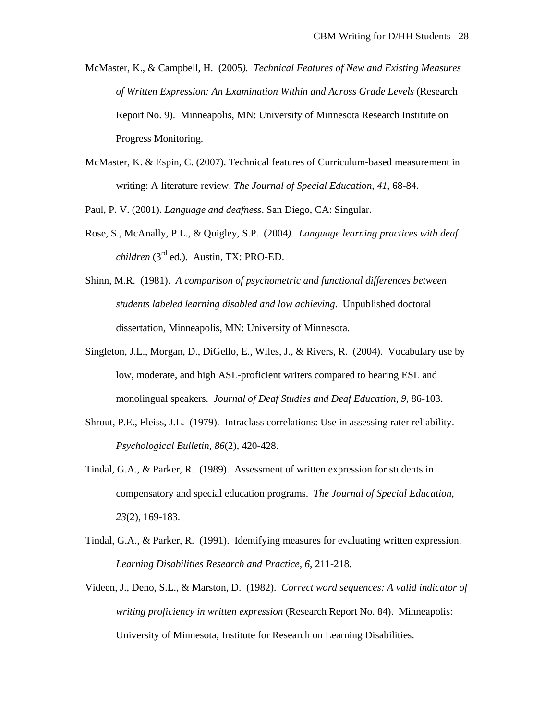- McMaster, K., & Campbell, H. (2005*). Technical Features of New and Existing Measures of Written Expression: An Examination Within and Across Grade Levels* (Research Report No. 9). Minneapolis, MN: University of Minnesota Research Institute on Progress Monitoring.
- McMaster, K. & Espin, C. (2007). Technical features of Curriculum-based measurement in writing: A literature review. *The Journal of Special Education, 41,* 68-84.

Paul, P. V. (2001). *Language and deafness*. San Diego, CA: Singular.

- Rose, S., McAnally, P.L., & Quigley, S.P. (2004*). Language learning practices with deaf children* (3rd ed.). Austin, TX: PRO-ED.
- Shinn, M.R. (1981). *A comparison of psychometric and functional differences between students labeled learning disabled and low achieving*. Unpublished doctoral dissertation, Minneapolis, MN: University of Minnesota.
- Singleton, J.L., Morgan, D., DiGello, E., Wiles, J., & Rivers, R. (2004). Vocabulary use by low, moderate, and high ASL-proficient writers compared to hearing ESL and monolingual speakers. *Journal of Deaf Studies and Deaf Education, 9*, 86-103.
- Shrout, P.E., Fleiss, J.L. (1979). Intraclass correlations: Use in assessing rater reliability. *Psychological Bulletin, 86*(2), 420-428.
- Tindal, G.A., & Parker, R. (1989). Assessment of written expression for students in compensatory and special education programs. *The Journal of Special Education, 23*(2), 169-183.
- Tindal, G.A., & Parker, R. (1991). Identifying measures for evaluating written expression. *Learning Disabilities Research and Practice, 6*, 211-218.
- Videen, J., Deno, S.L., & Marston, D. (1982). *Correct word sequences: A valid indicator of writing proficiency in written expression* (Research Report No. 84). Minneapolis: University of Minnesota, Institute for Research on Learning Disabilities.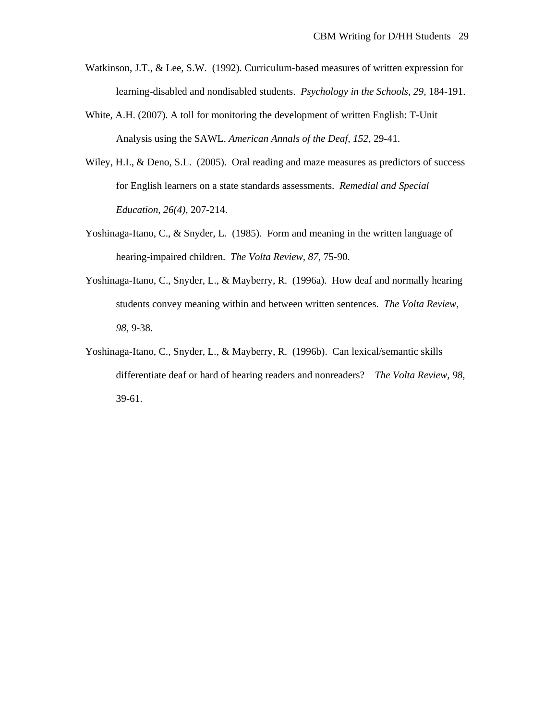- Watkinson, J.T., & Lee, S.W. (1992). Curriculum-based measures of written expression for learning-disabled and nondisabled students. *Psychology in the Schools, 29*, 184-191.
- White, A.H. (2007). A toll for monitoring the development of written English: T-Unit Analysis using the SAWL. *American Annals of the Deaf, 152*, 29-41.
- Wiley, H.I., & Deno, S.L. (2005). Oral reading and maze measures as predictors of success for English learners on a state standards assessments. *Remedial and Special Education, 26(4)*, 207-214.
- Yoshinaga-Itano, C., & Snyder, L. (1985). Form and meaning in the written language of hearing-impaired children. *The Volta Review, 87*, 75-90.
- Yoshinaga-Itano, C., Snyder, L., & Mayberry, R. (1996a). How deaf and normally hearing students convey meaning within and between written sentences. *The Volta Review, 98*, 9-38.
- Yoshinaga-Itano, C., Snyder, L., & Mayberry, R. (1996b). Can lexical/semantic skills differentiate deaf or hard of hearing readers and nonreaders? *The Volta Review, 98*, 39-61.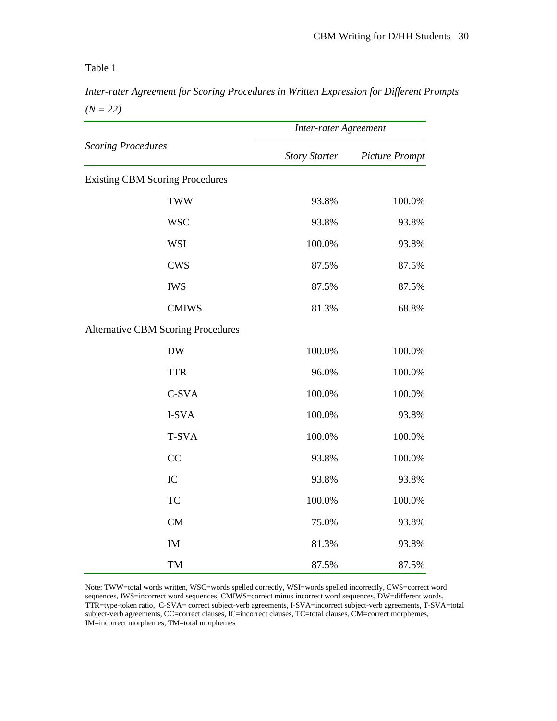*Inter-rater Agreement for Scoring Procedures in Written Expression for Different Prompts*   $(N = 22)$ 

|                                           | <b>Inter-rater Agreement</b> |                       |  |  |
|-------------------------------------------|------------------------------|-----------------------|--|--|
| <b>Scoring Procedures</b>                 | <b>Story Starter</b>         | <b>Picture Prompt</b> |  |  |
| <b>Existing CBM Scoring Procedures</b>    |                              |                       |  |  |
| <b>TWW</b>                                | 93.8%                        | 100.0%                |  |  |
| <b>WSC</b>                                | 93.8%                        | 93.8%                 |  |  |
| <b>WSI</b>                                | 100.0%                       | 93.8%                 |  |  |
| <b>CWS</b>                                | 87.5%                        | 87.5%                 |  |  |
| <b>IWS</b>                                | 87.5%                        | 87.5%                 |  |  |
| <b>CMIWS</b>                              | 81.3%                        | 68.8%                 |  |  |
| <b>Alternative CBM Scoring Procedures</b> |                              |                       |  |  |
| <b>DW</b>                                 | 100.0%                       | 100.0%                |  |  |
| <b>TTR</b>                                | 96.0%                        | 100.0%                |  |  |
| C-SVA                                     | 100.0%                       | 100.0%                |  |  |
| I-SVA                                     | 100.0%                       | 93.8%                 |  |  |
| T-SVA                                     | 100.0%                       | 100.0%                |  |  |
| CC                                        | 93.8%                        | 100.0%                |  |  |
| IC                                        | 93.8%                        | 93.8%                 |  |  |
| <b>TC</b>                                 | 100.0%                       | 100.0%                |  |  |
| <b>CM</b>                                 | 75.0%                        | 93.8%                 |  |  |
| IM                                        | 81.3%                        | 93.8%                 |  |  |
| TM                                        | 87.5%                        | 87.5%                 |  |  |

Note: TWW=total words written, WSC=words spelled correctly, WSI=words spelled incorrectly, CWS=correct word sequences, IWS=incorrect word sequences, CMIWS=correct minus incorrect word sequences, DW=different words, TTR=type-token ratio, C-SVA= correct subject-verb agreements, I-SVA=incorrect subject-verb agreements, T-SVA=total subject-verb agreements, CC=correct clauses, IC=incorrect clauses, TC=total clauses, CM=correct morphemes, IM=incorrect morphemes, TM=total morphemes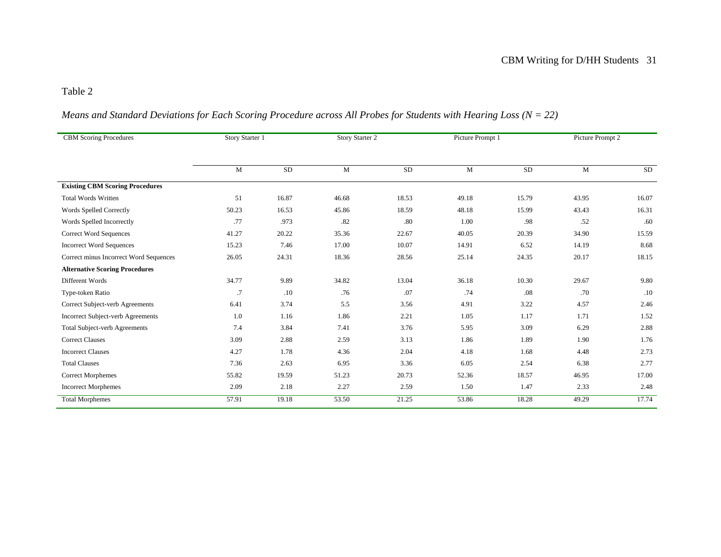# *Means and Standard Deviations for Each Scoring Procedure across All Probes for Students with Hearing Loss (N = 22)*

| <b>CBM Scoring Procedures</b>            | Story Starter 1 |       | Story Starter 2 |           | Picture Prompt 1 |          | Picture Prompt 2 |           |
|------------------------------------------|-----------------|-------|-----------------|-----------|------------------|----------|------------------|-----------|
|                                          |                 |       |                 |           |                  |          |                  |           |
|                                          | $\mathbf{M}$    | SD    | $\mathbf M$     | <b>SD</b> | M                | $\rm SD$ | $\mathbf{M}$     | <b>SD</b> |
| <b>Existing CBM Scoring Procedures</b>   |                 |       |                 |           |                  |          |                  |           |
| <b>Total Words Written</b>               | 51              | 16.87 | 46.68           | 18.53     | 49.18            | 15.79    | 43.95            | 16.07     |
| Words Spelled Correctly                  | 50.23           | 16.53 | 45.86           | 18.59     | 48.18            | 15.99    | 43.43            | 16.31     |
| Words Spelled Incorrectly                | .77             | .973  | .82             | .80       | 1.00             | .98      | .52              | .60       |
| <b>Correct Word Sequences</b>            | 41.27           | 20.22 | 35.36           | 22.67     | 40.05            | 20.39    | 34.90            | 15.59     |
| <b>Incorrect Word Sequences</b>          | 15.23           | 7.46  | 17.00           | 10.07     | 14.91            | 6.52     | 14.19            | 8.68      |
| Correct minus Incorrect Word Sequences   | 26.05           | 24.31 | 18.36           | 28.56     | 25.14            | 24.35    | 20.17            | 18.15     |
| <b>Alternative Scoring Procedures</b>    |                 |       |                 |           |                  |          |                  |           |
| Different Words                          | 34.77           | 9.89  | 34.82           | 13.04     | 36.18            | 10.30    | 29.67            | 9.80      |
| Type-token Ratio                         | .7              | .10   | .76             | .07       | .74              | .08      | .70              | .10       |
| Correct Subject-verb Agreements          | 6.41            | 3.74  | 5.5             | 3.56      | 4.91             | 3.22     | 4.57             | 2.46      |
| <b>Incorrect Subject-verb Agreements</b> | 1.0             | 1.16  | 1.86            | 2.21      | 1.05             | 1.17     | 1.71             | 1.52      |
| <b>Total Subject-verb Agreements</b>     | 7.4             | 3.84  | 7.41            | 3.76      | 5.95             | 3.09     | 6.29             | 2.88      |
| <b>Correct Clauses</b>                   | 3.09            | 2.88  | 2.59            | 3.13      | 1.86             | 1.89     | 1.90             | 1.76      |
| <b>Incorrect Clauses</b>                 | 4.27            | 1.78  | 4.36            | 2.04      | 4.18             | 1.68     | 4.48             | 2.73      |
| <b>Total Clauses</b>                     | 7.36            | 2.63  | 6.95            | 3.36      | 6.05             | 2.54     | 6.38             | 2.77      |
| <b>Correct Morphemes</b>                 | 55.82           | 19.59 | 51.23           | 20.73     | 52.36            | 18.57    | 46.95            | 17.00     |
| <b>Incorrect Morphemes</b>               | 2.09            | 2.18  | 2.27            | 2.59      | 1.50             | 1.47     | 2.33             | 2.48      |
| <b>Total Morphemes</b>                   | 57.91           | 19.18 | 53.50           | 21.25     | 53.86            | 18.28    | 49.29            | 17.74     |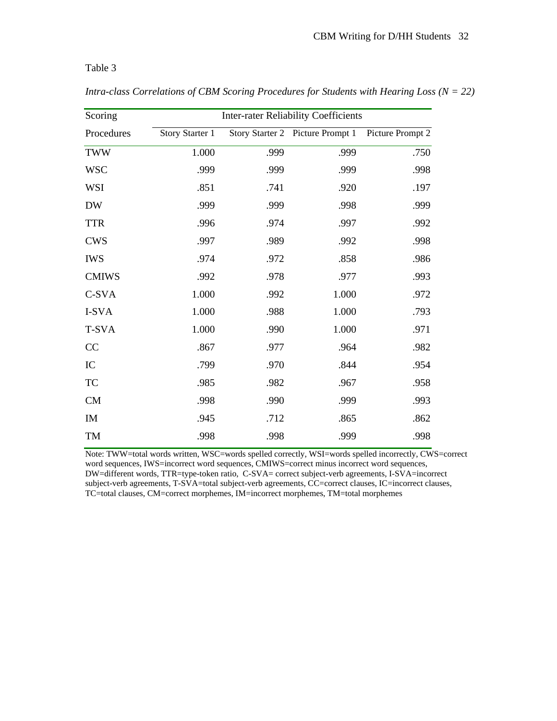| Scoring      | <b>Inter-rater Reliability Coefficients</b> |      |                                  |                  |  |
|--------------|---------------------------------------------|------|----------------------------------|------------------|--|
| Procedures   | Story Starter 1                             |      | Story Starter 2 Picture Prompt 1 | Picture Prompt 2 |  |
| <b>TWW</b>   | 1.000                                       | .999 | .999                             | .750             |  |
| <b>WSC</b>   | .999                                        | .999 | .999                             | .998             |  |
| WSI          | .851                                        | .741 | .920                             | .197             |  |
| <b>DW</b>    | .999                                        | .999 | .998                             | .999             |  |
| <b>TTR</b>   | .996                                        | .974 | .997                             | .992             |  |
| <b>CWS</b>   | .997                                        | .989 | .992                             | .998             |  |
| <b>IWS</b>   | .974                                        | .972 | .858                             | .986             |  |
| <b>CMIWS</b> | .992                                        | .978 | .977                             | .993             |  |
| C-SVA        | 1.000                                       | .992 | 1.000                            | .972             |  |
| I-SVA        | 1.000                                       | .988 | 1.000                            | .793             |  |
| T-SVA        | 1.000                                       | .990 | 1.000                            | .971             |  |
| CC           | .867                                        | .977 | .964                             | .982             |  |
| IC           | .799                                        | .970 | .844                             | .954             |  |
| TC           | .985                                        | .982 | .967                             | .958             |  |
| CM           | .998                                        | .990 | .999                             | .993             |  |
| IM           | .945                                        | .712 | .865                             | .862             |  |
| TM           | .998                                        | .998 | .999                             | .998             |  |

*Intra-class Correlations of CBM Scoring Procedures for Students with Hearing Loss (N = 22)* 

Note: TWW=total words written, WSC=words spelled correctly, WSI=words spelled incorrectly, CWS=correct word sequences, IWS=incorrect word sequences, CMIWS=correct minus incorrect word sequences, DW=different words, TTR=type-token ratio, C-SVA= correct subject-verb agreements, I-SVA=incorrect subject-verb agreements, T-SVA=total subject-verb agreements, CC=correct clauses, IC=incorrect clauses, TC=total clauses, CM=correct morphemes, IM=incorrect morphemes, TM=total morphemes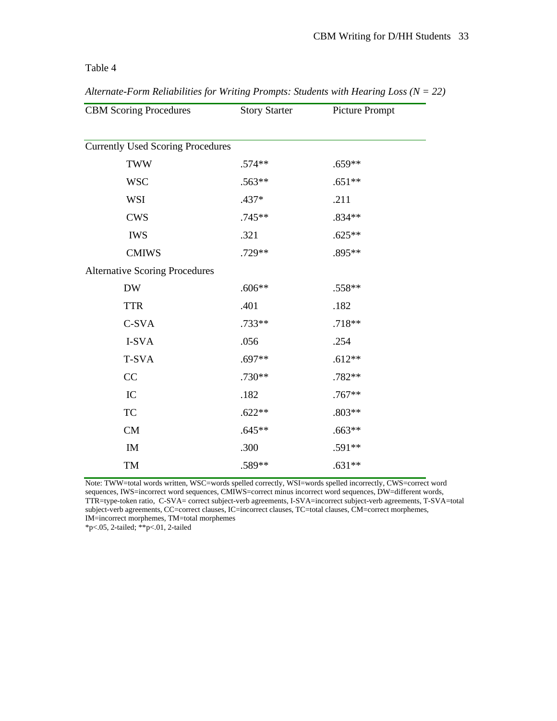| <b>CBM Scoring Procedures</b>            | <b>Story Starter</b> | Picture Prompt |
|------------------------------------------|----------------------|----------------|
|                                          |                      |                |
| <b>Currently Used Scoring Procedures</b> |                      |                |
| <b>TWW</b>                               | $.574**$             | $.659**$       |
| <b>WSC</b>                               | .563**               | $.651**$       |
| <b>WSI</b>                               | .437*                | .211           |
| <b>CWS</b>                               | .745**               | .834**         |
| <b>IWS</b>                               | .321                 | $.625**$       |
| <b>CMIWS</b>                             | .729**               | .895**         |
| <b>Alternative Scoring Procedures</b>    |                      |                |
| <b>DW</b>                                | $.606**$             | .558**         |
| <b>TTR</b>                               | .401                 | .182           |
| C-SVA                                    | .733**               | $.718**$       |
| I-SVA                                    | .056                 | .254           |
| T-SVA                                    | .697**               | $.612**$       |
| CC                                       | .730**               | .782**         |
| IC                                       | .182                 | $.767**$       |
| <b>TC</b>                                | $.622**$             | $.803**$       |
| <b>CM</b>                                | $.645**$             | $.663**$       |
| IM                                       | .300                 | .591**         |
| TM                                       | .589**               | $.631**$       |

*Alternate-Form Reliabilities for Writing Prompts: Students with Hearing Loss (N = 22)* 

Note: TWW=total words written, WSC=words spelled correctly, WSI=words spelled incorrectly, CWS=correct word sequences, IWS=incorrect word sequences, CMIWS=correct minus incorrect word sequences, DW=different words, TTR=type-token ratio, C-SVA= correct subject-verb agreements, I-SVA=incorrect subject-verb agreements, T-SVA=total subject-verb agreements, CC=correct clauses, IC=incorrect clauses, TC=total clauses, CM=correct morphemes, IM=incorrect morphemes, TM=total morphemes

\*p<.05, 2-tailed; \*\*p<.01, 2-tailed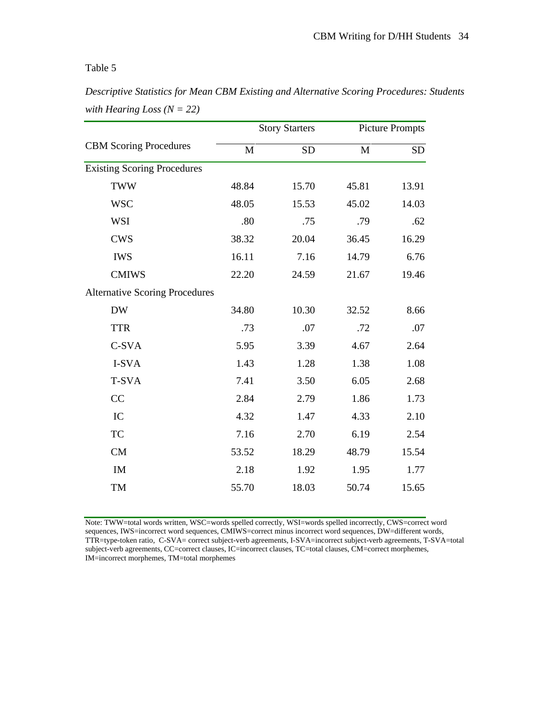*Descriptive Statistics for Mean CBM Existing and Alternative Scoring Procedures: Students with Hearing Loss (N = 22)* 

|                                       | <b>Story Starters</b> |           | <b>Picture Prompts</b> |           |
|---------------------------------------|-----------------------|-----------|------------------------|-----------|
| <b>CBM Scoring Procedures</b>         | M                     | <b>SD</b> | M                      | <b>SD</b> |
| <b>Existing Scoring Procedures</b>    |                       |           |                        |           |
| <b>TWW</b>                            | 48.84                 | 15.70     | 45.81                  | 13.91     |
| <b>WSC</b>                            | 48.05                 | 15.53     | 45.02                  | 14.03     |
| <b>WSI</b>                            | .80                   | .75       | .79                    | .62       |
| <b>CWS</b>                            | 38.32                 | 20.04     | 36.45                  | 16.29     |
| <b>IWS</b>                            | 16.11                 | 7.16      | 14.79                  | 6.76      |
| <b>CMIWS</b>                          | 22.20                 | 24.59     | 21.67                  | 19.46     |
| <b>Alternative Scoring Procedures</b> |                       |           |                        |           |
| <b>DW</b>                             | 34.80                 | 10.30     | 32.52                  | 8.66      |
| <b>TTR</b>                            | .73                   | .07       | .72                    | .07       |
| C-SVA                                 | 5.95                  | 3.39      | 4.67                   | 2.64      |
| I-SVA                                 | 1.43                  | 1.28      | 1.38                   | 1.08      |
| T-SVA                                 | 7.41                  | 3.50      | 6.05                   | 2.68      |
| CC                                    | 2.84                  | 2.79      | 1.86                   | 1.73      |
| IC                                    | 4.32                  | 1.47      | 4.33                   | 2.10      |
| <b>TC</b>                             | 7.16                  | 2.70      | 6.19                   | 2.54      |
| CM                                    | 53.52                 | 18.29     | 48.79                  | 15.54     |
| IM                                    | 2.18                  | 1.92      | 1.95                   | 1.77      |
| TM                                    | 55.70                 | 18.03     | 50.74                  | 15.65     |
|                                       |                       |           |                        |           |

Note: TWW=total words written, WSC=words spelled correctly, WSI=words spelled incorrectly, CWS=correct word sequences, IWS=incorrect word sequences, CMIWS=correct minus incorrect word sequences, DW=different words, TTR=type-token ratio, C-SVA= correct subject-verb agreements, I-SVA=incorrect subject-verb agreements, T-SVA=total subject-verb agreements, CC=correct clauses, IC=incorrect clauses, TC=total clauses, CM=correct morphemes, IM=incorrect morphemes, TM=total morphemes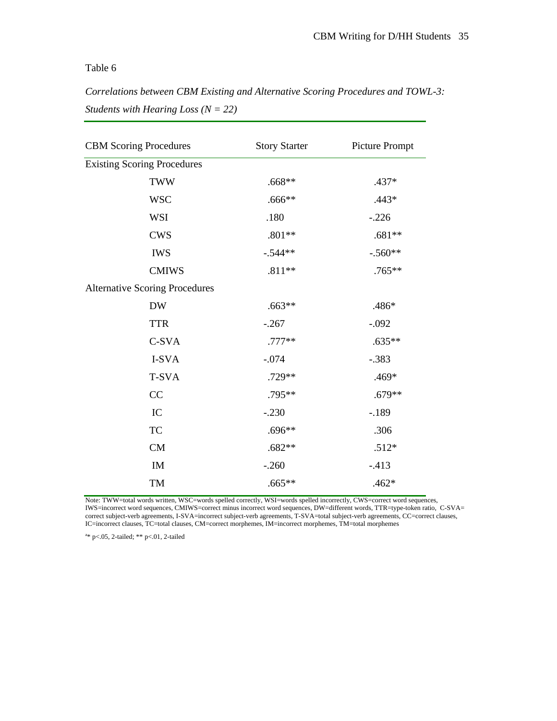*Correlations between CBM Existing and Alternative Scoring Procedures and TOWL-3: Students with Hearing Loss (N = 22)* 

| <b>CBM Scoring Procedures</b>         | <b>Story Starter</b> | Picture Prompt |  |  |
|---------------------------------------|----------------------|----------------|--|--|
| <b>Existing Scoring Procedures</b>    |                      |                |  |  |
| <b>TWW</b>                            | $.668**$             | $.437*$        |  |  |
| <b>WSC</b>                            | $.666**$             | $.443*$        |  |  |
| <b>WSI</b>                            | .180                 | $-.226$        |  |  |
| <b>CWS</b>                            | $.801**$             | $.681**$       |  |  |
| <b>IWS</b>                            | $-.544**$            | $-.560**$      |  |  |
| <b>CMIWS</b>                          | $.811**$             | $.765**$       |  |  |
| <b>Alternative Scoring Procedures</b> |                      |                |  |  |
| <b>DW</b>                             | $.663**$             | .486*          |  |  |
| <b>TTR</b>                            | $-.267$              | $-.092$        |  |  |
| C-SVA                                 | $.777**$             | $.635**$       |  |  |
| I-SVA                                 | $-.074$              | $-.383$        |  |  |
| <b>T-SVA</b>                          | .729**               | $.469*$        |  |  |
| CC                                    | $.795**$             | $.679**$       |  |  |
| IC                                    | $-.230$              | $-.189$        |  |  |
| <b>TC</b>                             | $.696**$             | .306           |  |  |
| CM                                    | $.682**$             | $.512*$        |  |  |
| IM                                    | $-.260$              | $-413$         |  |  |
| TM                                    | $.665**$             | $.462*$        |  |  |

Note: TWW=total words written, WSC=words spelled correctly, WSI=words spelled incorrectly, CWS=correct word sequences, IWS=incorrect word sequences, CMIWS=correct minus incorrect word sequences, DW=different words, TTR=type-token ratio, C-SVA= correct subject-verb agreements, I-SVA=incorrect subject-verb agreements, T-SVA=total subject-verb agreements, CC=correct clauses, IC=incorrect clauses, TC=total clauses, CM=correct morphemes, IM=incorrect morphemes, TM=total morphemes

a \* p<.05, 2-tailed; \*\* p<.01, 2-tailed